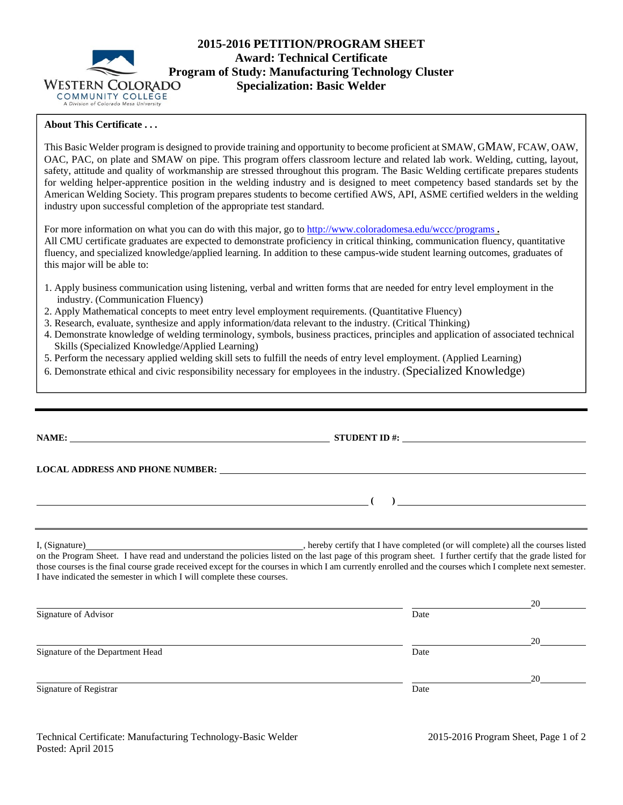

# **2015-2016 PETITION/PROGRAM SHEET Award: Technical Certificate Program of Study: Manufacturing Technology Cluster Specialization: Basic Welder**

## **About This Certificate . . .**

This Basic Welder program is designed to provide training and opportunity to become proficient at SMAW, GMAW, FCAW, OAW, OAC, PAC, on plate and SMAW on pipe. This program offers classroom lecture and related lab work. Welding, cutting, layout, safety, attitude and quality of workmanship are stressed throughout this program. The Basic Welding certificate prepares students for welding helper-apprentice position in the welding industry and is designed to meet competency based standards set by the American Welding Society. This program prepares students to become certified AWS, API, ASME certified welders in the welding industry upon successful completion of the appropriate test standard.

For more information on what you can do with this major, go to http://www.coloradomesa.edu/wccc/programs. All CMU certificate graduates are expected to demonstrate proficiency in critical thinking, communication fluency, quantitative fluency, and specialized knowledge/applied learning. In addition to these campus-wide student learning outcomes, graduates of this major will be able to:

- 1. Apply business communication using listening, verbal and written forms that are needed for entry level employment in the industry. (Communication Fluency)
- 2. Apply Mathematical concepts to meet entry level employment requirements. (Quantitative Fluency)
- 3. Research, evaluate, synthesize and apply information/data relevant to the industry. (Critical Thinking)
- 4. Demonstrate knowledge of welding terminology, symbols, business practices, principles and application of associated technical Skills (Specialized Knowledge/Applied Learning)
- 5. Perform the necessary applied welding skill sets to fulfill the needs of entry level employment. (Applied Learning)
- 6. Demonstrate ethical and civic responsibility necessary for employees in the industry. (Specialized Knowledge)

|                                                                       | STUDENT ID $\#$ :                                                                                                                                        |    |  |  |
|-----------------------------------------------------------------------|----------------------------------------------------------------------------------------------------------------------------------------------------------|----|--|--|
|                                                                       |                                                                                                                                                          |    |  |  |
|                                                                       | ) and the contract of the contract of $\mathcal{L}$                                                                                                      |    |  |  |
|                                                                       |                                                                                                                                                          |    |  |  |
| I have indicated the semester in which I will complete these courses. | those courses is the final course grade received except for the courses in which I am currently enrolled and the courses which I complete next semester. |    |  |  |
|                                                                       |                                                                                                                                                          | 20 |  |  |
| Signature of Advisor                                                  | Date                                                                                                                                                     |    |  |  |
|                                                                       |                                                                                                                                                          | 20 |  |  |
| Signature of the Department Head                                      | Date                                                                                                                                                     |    |  |  |
|                                                                       |                                                                                                                                                          | 20 |  |  |